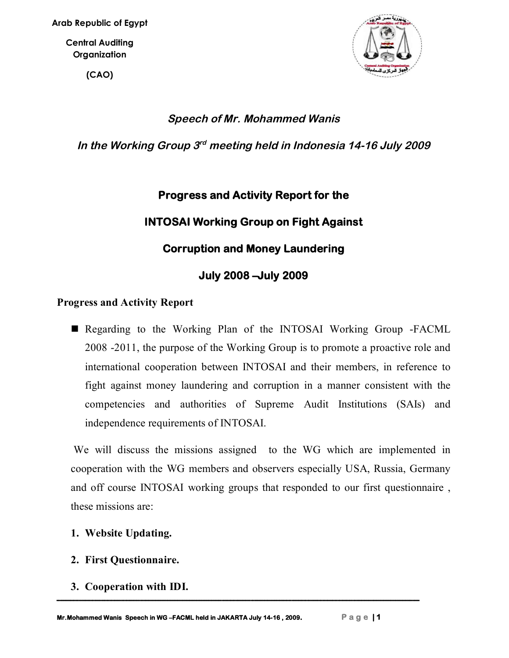**(CAO)**



# *Speech of Mr. Mohammed Wanis*

In the Working Group 3rd meeting held in Indonesia 14-16 July 2009

# **Progress and Activity Report for the INTOSAI Working Group on Fight Against Corruption and Money Laundering July 2008 –July 2009**

#### **Progress and Activity Report**

Regarding to the Working Plan of the INTOSAI Working Group -FACML 2008 -2011, the purpose of the Working Group is to promote a proactive role and international cooperation between INTOSAI and their members, in reference to fight against money laundering and corruption in a manner consistent with the competencies and authorities of Supreme Audit Institutions (SAIs) and independence requirements of INTOSAI.

We will discuss the missions assigned to the WG which are implemented in cooperation with the WG members and observers especially USA, Russia, Germany and off course INTOSAI working groups that responded to our first questionnaire , these missions are:

- **1. Website Updating.**
- **2. First Questionnaire.**
- **3. Cooperation with IDI.**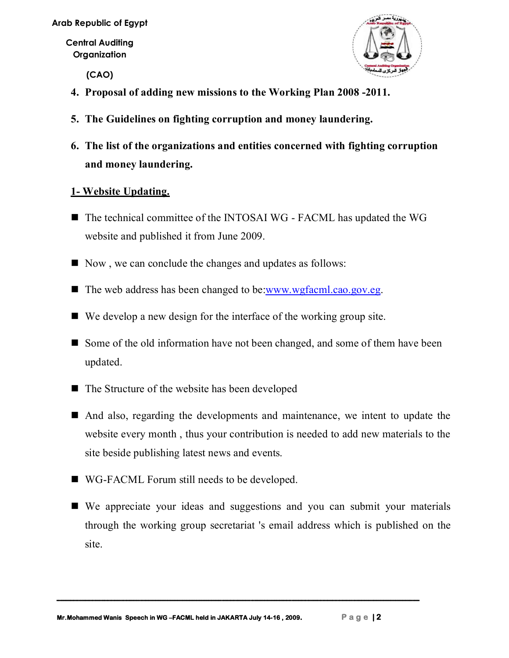**Arab Republic of Egypt**

**Central Auditing Organization**

**(CAO)**



- **4. Proposal of adding new missions to the Working Plan 2008 -2011.**
- **5. The Guidelines on fighting corruption and money laundering.**
- **6. The list of the organizations and entities concerned with fighting corruption and money laundering.**

#### **1- Website Updating.**

- The technical committee of the INTOSAI WG FACML has updated the WG website and published it from June 2009.
- Now, we can conclude the changes and updates as follows:
- The web address has been changed to be:www.wgfacml.cao.gov.eg.
- We develop a new design for the interface of the working group site.
- Some of the old information have not been changed, and some of them have been updated.
- The Structure of the website has been developed
- And also, regarding the developments and maintenance, we intent to update the website every month , thus your contribution is needed to add new materials to the site beside publishing latest news and events.
- WG-FACML Forum still needs to be developed.
- We appreciate your ideas and suggestions and you can submit your materials through the working group secretariat 's email address which is published on the site.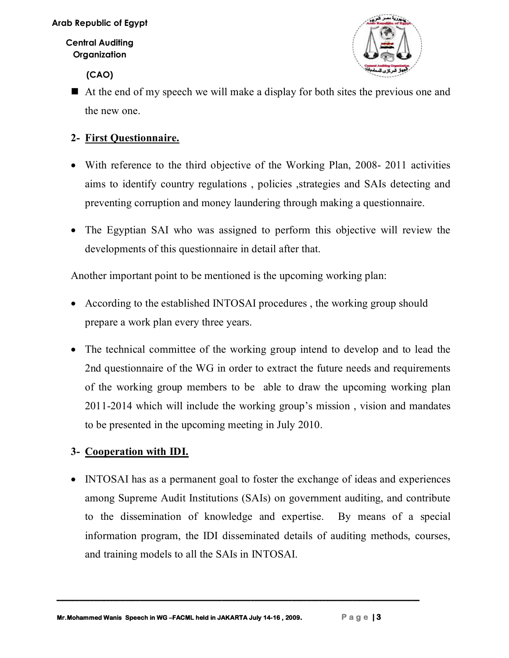**(CAO)**



 $\blacksquare$  At the end of my speech we will make a display for both sites the previous one and the new one.

## **2- First Questionnaire.**

- With reference to the third objective of the Working Plan, 2008- 2011 activities aims to identify country regulations , policies ,strategies and SAIs detecting and preventing corruption and money laundering through making a questionnaire.
- The Egyptian SAI who was assigned to perform this objective will review the developments of this questionnaire in detail after that.

Another important point to be mentioned is the upcoming working plan:

- According to the established INTOSAI procedures , the working group should prepare a work plan every three years.
- The technical committee of the working group intend to develop and to lead the 2nd questionnaire of the WG in order to extract the future needs and requirements of the working group members to be able to draw the upcoming working plan 2011-2014 which will include the working group's mission , vision and mandates to be presented in the upcoming meeting in July 2010.

### **3- Cooperation with IDI.**

• INTOSAI has as a permanent goal to foster the exchange of ideas and experiences among Supreme Audit Institutions (SAIs) on government auditing, and contribute to the dissemination of knowledge and expertise. By means of a special information program, the IDI disseminated details of auditing methods, courses, and training models to all the SAIs in INTOSAI.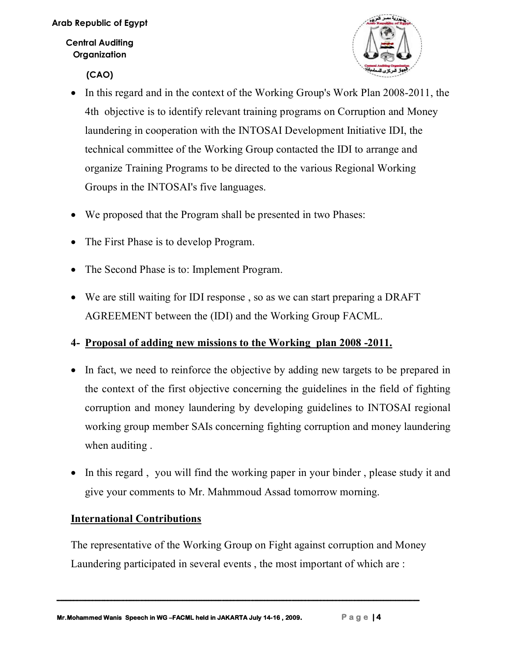**(CAO)**



- In this regard and in the context of the Working Group's Work Plan 2008-2011, the 4th objective is to identify relevant training programs on Corruption and Money laundering in cooperation with the INTOSAI Development Initiative IDI, the technical committee of the Working Group contacted the IDI to arrange and organize Training Programs to be directed to the various Regional Working Groups in the INTOSAI's five languages.
- We proposed that the Program shall be presented in two Phases:
- The First Phase is to develop Program.
- The Second Phase is to: Implement Program.
- We are still waiting for IDI response , so as we can start preparing a DRAFT AGREEMENT between the (IDI) and the Working Group FACML.

# **4- Proposal of adding new missions to the Working plan 2008 -2011.**

- In fact, we need to reinforce the objective by adding new targets to be prepared in the context of the first objective concerning the guidelines in the field of fighting corruption and money laundering by developing guidelines to INTOSAI regional working group member SAIs concerning fighting corruption and money laundering when auditing .
- In this regard, you will find the working paper in your binder, please study it and give your comments to Mr. Mahmmoud Assad tomorrow morning.

### **International Contributions**

The representative of the Working Group on Fight against corruption and Money Laundering participated in several events , the most important of which are :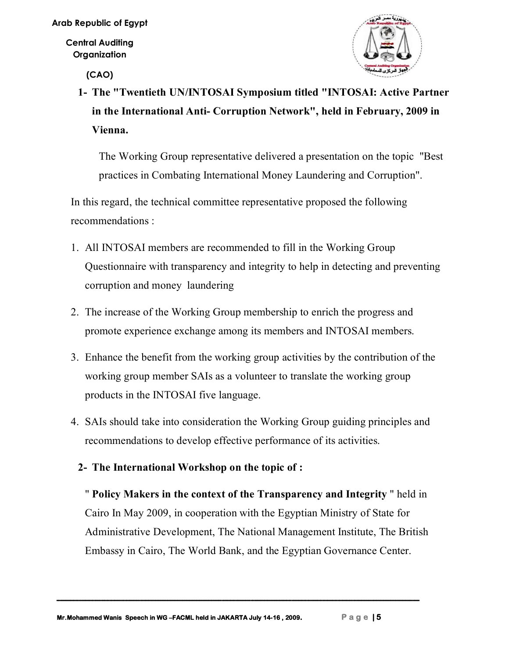**(CAO)**



**1- The "Twentieth UN/INTOSAI Symposium titled "INTOSAI: Active Partner in the International Anti- Corruption Network", held in February, 2009 in Vienna.**

The Working Group representative delivered a presentation on the topic "Best practices in Combating International Money Laundering and Corruption".

In this regard, the technical committee representative proposed the following recommendations :

- 1. All INTOSAI members are recommended to fill in the Working Group Questionnaire with transparency and integrity to help in detecting and preventing corruption and money laundering
- 2. The increase of the Working Group membership to enrich the progress and promote experience exchange among its members and INTOSAI members.
- 3. Enhance the benefit from the working group activities by the contribution of the working group member SAIs as a volunteer to translate the working group products in the INTOSAI five language.
- 4. SAIs should take into consideration the Working Group guiding principles and recommendations to develop effective performance of its activities.

### **2- The International Workshop on the topic of :**

" **Policy Makers in the context of the Transparency and Integrity** " held in Cairo In May 2009, in cooperation with the Egyptian Ministry of State for Administrative Development, The National Management Institute, The British Embassy in Cairo, The World Bank, and the Egyptian Governance Center.